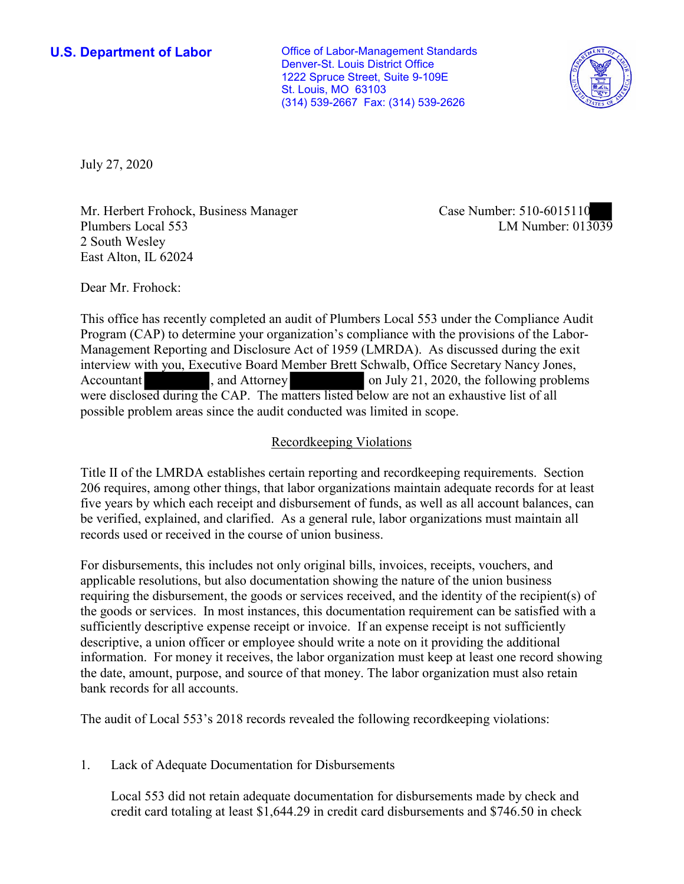1222 Spruce Street, Suite 9-109E **U.S. Department of Labor Conservative Conservative Conservative Conservative U.S.** Department of Labor Denver-St. Louis District Office St. Louis, MO 63103 (314) 539-2667 Fax: (314) 539-2626



July 27, 2020

Mr. Herbert Frohock, Business Manager Plumbers Local 553 2 South Wesley East Alton, IL 62024

Case Number: 510-6015110<br>LM Number: 013039

Dear Mr. Frohock:

 This office has recently completed an audit of Plumbers Local 553 under the Compliance Audit nt Re<sub>l</sub><br>ith yo<br>sed d<br>bblem Program (CAP) to determine your organization's compliance with the provisions of the Labor-Management Reporting and Disclosure Act of 1959 (LMRDA). As discussed during the exit interview with you, Executive Board Member Brett Schwalb, Office Secretary Nancy Jones, Accountant , and Attorney on July 21, 2020, the following problems were disclosed during the CAP. The matters listed below are not an exhaustive list of all possible problem areas since the audit conducted was limited in scope.

# Recordkeeping Violations

 Title II of the LMRDA establishes certain reporting and recordkeeping requirements. Section five years by which each receipt and disbursement of funds, as well as all account balances, can be verified, explained, and clarified. As a general rule, labor organizations must maintain all records used or received in the course of union business. 206 requires, among other things, that labor organizations maintain adequate records for at least

For disbursements, this includes not only original bills, invoices, receipts, vouchers, and applicable resolutions, but also documentation showing the nature of the union business requiring the disbursement, the goods or services received, and the identity of the recipient(s) of the goods or services. In most instances, this documentation requirement can be satisfied with a sufficiently descriptive expense receipt or invoice. If an expense receipt is not sufficiently descriptive, a union officer or employee should write a note on it providing the additional information. For money it receives, the labor organization must keep at least one record showing the date, amount, purpose, and source of that money. The labor organization must also retain bank records for all accounts.

The audit of Local 553's 2018 records revealed the following recordkeeping violations:

1. Lack of Adequate Documentation for Disbursements

Local 553 did not retain adequate documentation for disbursements made by check and credit card totaling at least \$[1,644.29](https://1,644.29) in credit card disbursements and \$746.50 in check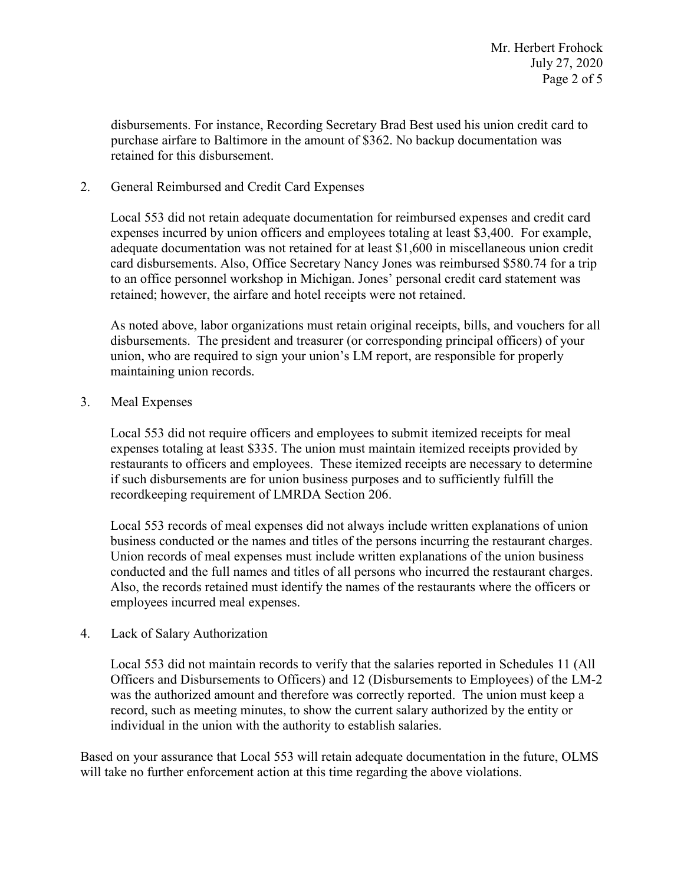disbursements. For instance, Recording Secretary Brad Best used his union credit card to purchase airfare to Baltimore in the amount of \$362. No backup documentation was retained for this disbursement.

### 2. General Reimbursed and Credit Card Expenses

Local 553 did not retain adequate documentation for reimbursed expenses and credit card expenses incurred by union officers and employees totaling at least \$3,400. For example, adequate documentation was not retained for at least \$1,600 in miscellaneous union credit card disbursements. Also, Office Secretary Nancy Jones was reimbursed \$580.74 for a trip to an office personnel workshop in Michigan. Jones' personal credit card statement was retained; however, the airfare and hotel receipts were not retained.

As noted above, labor organizations must retain original receipts, bills, and vouchers for all disbursements. The president and treasurer (or corresponding principal officers) of your union, who are required to sign your union's LM report, are responsible for properly maintaining union records.

#### 3. Meal Expenses

Local 553 did not require officers and employees to submit itemized receipts for meal expenses totaling at least \$335. The union must maintain itemized receipts provided by restaurants to officers and employees. These itemized receipts are necessary to determine if such disbursements are for union business purposes and to sufficiently fulfill the recordkeeping requirement of LMRDA Section 206.

Local 553 records of meal expenses did not always include written explanations of union business conducted or the names and titles of the persons incurring the restaurant charges. Union records of meal expenses must include written explanations of the union business conducted and the full names and titles of all persons who incurred the restaurant charges. Also, the records retained must identify the names of the restaurants where the officers or employees incurred meal expenses.

#### 4. Lack of Salary Authorization

Local 553 did not maintain records to verify that the salaries reported in Schedules 11 (All Officers and Disbursements to Officers) and 12 (Disbursements to Employees) of the LM-2 was the authorized amount and therefore was correctly reported. The union must keep a record, such as meeting minutes, to show the current salary authorized by the entity or individual in the union with the authority to establish salaries.

 Based on your assurance that Local 553 will retain adequate documentation in the future, OLMS will take no further enforcement action at this time regarding the above violations.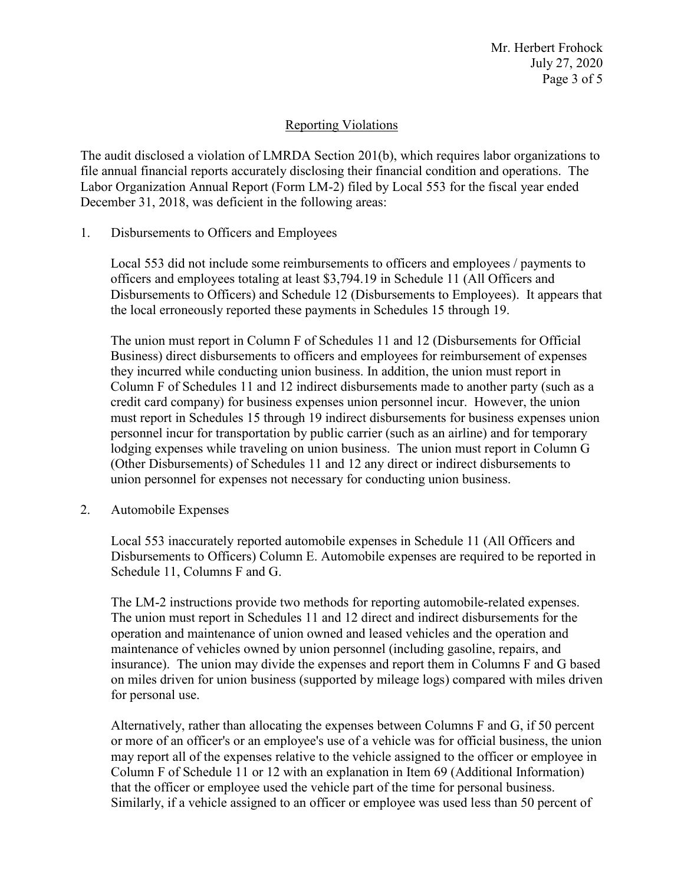Mr. Herbert Frohock July 27, 2020 Page 3 of 5

## Reporting Violations

 Labor Organization Annual Report (Form LM-2) filed by Local 553 for the fiscal year ended The audit disclosed a violation of LMRDA Section 201(b), which requires labor organizations to file annual financial reports accurately disclosing their financial condition and operations. The December 31, 2018, was deficient in the following areas:

Disbursements to Officers and Employees

1. Disbursements to Officers and Employees<br>Local 553 did not include some reimbursements to officers and employees / payments to officers and employees totaling at least [\\$3,794.19](https://3,794.19) in Schedule 11 (All Officers and Disbursements to Officers) and Schedule 12 (Disbursements to Employees). It appears that the local erroneously reported these payments in Schedules 15 through 19.

 The union must report in Column F of Schedules 11 and 12 (Disbursements for Official Column F of Schedules 11 and 12 indirect disbursements made to another party (such as a personnel incur for transportation by public carrier (such as an airline) and for temporary Business) direct disbursements to officers and employees for reimbursement of expenses they incurred while conducting union business. In addition, the union must report in credit card company) for business expenses union personnel incur. However, the union must report in Schedules 15 through 19 indirect disbursements for business expenses union lodging expenses while traveling on union business. The union must report in Column G (Other Disbursements) of Schedules 11 and 12 any direct or indirect disbursements to union personnel for expenses not necessary for conducting union business.

2. Automobile Expenses

Local 553 inaccurately reported automobile expenses in Schedule 11 (All Officers and Disbursements to Officers) Column E. Automobile expenses are required to be reported in Schedule 11, Columns F and G.

The LM-2 instructions provide two methods for reporting automobile-related expenses. The union must report in Schedules 11 and 12 direct and indirect disbursements for the operation and maintenance of union owned and leased vehicles and the operation and maintenance of vehicles owned by union personnel (including gasoline, repairs, and insurance). The union may divide the expenses and report them in Columns F and G based on miles driven for union business (supported by mileage logs) compared with miles driven for personal use.

Alternatively, rather than allocating the expenses between Columns F and G, if 50 percent or more of an officer's or an employee's use of a vehicle was for official business, the union may report all of the expenses relative to the vehicle assigned to the officer or employee in Column F of Schedule 11 or 12 with an explanation in Item 69 (Additional Information) that the officer or employee used the vehicle part of the time for personal business. Similarly, if a vehicle assigned to an officer or employee was used less than 50 percent of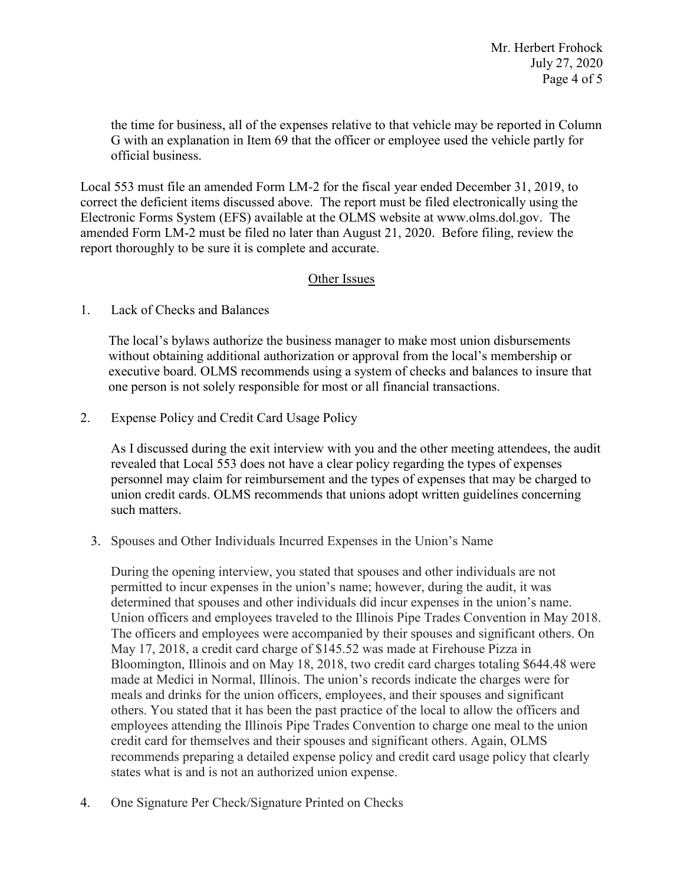Mr. Herbert Frohock July 27, 2020 Page 4 of 5

the time for business, all of the expenses relative to that vehicle may be reported in Column G with an explanation in Item 69 that the officer or employee used the vehicle partly for official business.

 Local 553 must file an amended Form LM-2 for the fiscal year ended December 31, 2019, to correct the deficient items discussed above. The report must be filed electronically using the Electronic Forms System (EFS) available at the OLMS website at [www.olms.dol.gov.](www.olms.dol.gov) The amended Form LM-2 must be filed no later than August 21, 2020. Before filing, review the report thoroughly to be sure it is complete and accurate.

#### Other Issues

1. Lack of Checks and Balances

The local's bylaws authorize the business manager to make most union disbursements without obtaining additional authorization or approval from the local's membership or executive board. OLMS recommends using a system of checks and balances to insure that one person is not solely responsible for most or all financial transactions.

2. Expense Policy and Credit Card Usage Policy

 As I discussed during the exit interview with you and the other meeting attendees, the audit revealed that Local 553 does not have a clear policy regarding the types of expenses personnel may claim for reimbursement and the types of expenses that may be charged to union credit cards. OLMS recommends that unions adopt written guidelines concerning such matters.

3. Spouses and Other Individuals Incurred Expenses in the Union's Name

 others. You stated that it has been the past practice of the local to allow the officers and During the opening interview, you stated that spouses and other individuals are not permitted to incur expenses in the union's name; however, during the audit, it was determined that spouses and other individuals did incur expenses in the union's name. Union officers and employees traveled to the Illinois Pipe Trades Convention in May 2018. The officers and employees were accompanied by their spouses and significant others. On May 17, 2018, a credit card charge of \$145.52 was made at Firehouse Pizza in Bloomington, Illinois and on May 18, 2018, two credit card charges totaling \$644.48 were made at Medici in Normal, Illinois. The union's records indicate the charges were for meals and drinks for the union officers, employees, and their spouses and significant employees attending the Illinois Pipe Trades Convention to charge one meal to the union credit card for themselves and their spouses and significant others. Again, OLMS recommends preparing a detailed expense policy and credit card usage policy that clearly states what is and is not an authorized union expense.

4. One Signature Per Check/Signature Printed on Checks